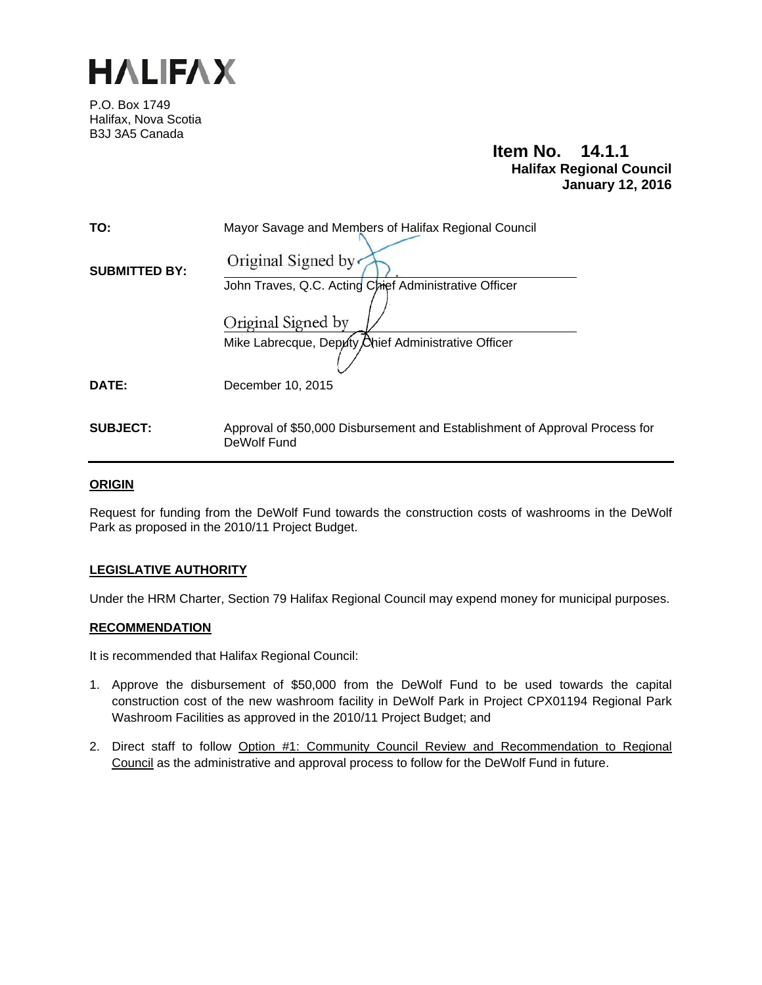

P.O. Box 1749 Halifax, Nova Scotia B3J 3A5 Canada

# **Item No. 14.1.1 Halifax Regional Council January 12, 2016**

| TO:                  | Mayor Savage and Members of Halifax Regional Council                                       |
|----------------------|--------------------------------------------------------------------------------------------|
| <b>SUBMITTED BY:</b> | Original Signed by                                                                         |
|                      | John Traves, Q.C. Acting Chief Administrative Officer                                      |
|                      | Original Signed by                                                                         |
|                      | Mike Labrecque, Deputy Ohief Administrative Officer                                        |
| DATE:                | December 10, 2015                                                                          |
|                      |                                                                                            |
| <b>SUBJECT:</b>      | Approval of \$50,000 Disbursement and Establishment of Approval Process for<br>DeWolf Fund |

# **ORIGIN**

Request for funding from the DeWolf Fund towards the construction costs of washrooms in the DeWolf Park as proposed in the 2010/11 Project Budget.

# **LEGISLATIVE AUTHORITY**

Under the HRM Charter, Section 79 Halifax Regional Council may expend money for municipal purposes.

## **RECOMMENDATION**

It is recommended that Halifax Regional Council:

- 1. Approve the disbursement of \$50,000 from the DeWolf Fund to be used towards the capital construction cost of the new washroom facility in DeWolf Park in Project CPX01194 Regional Park Washroom Facilities as approved in the 2010/11 Project Budget; and
- 2. Direct staff to follow Option #1: Community Council Review and Recommendation to Regional Council as the administrative and approval process to follow for the DeWolf Fund in future.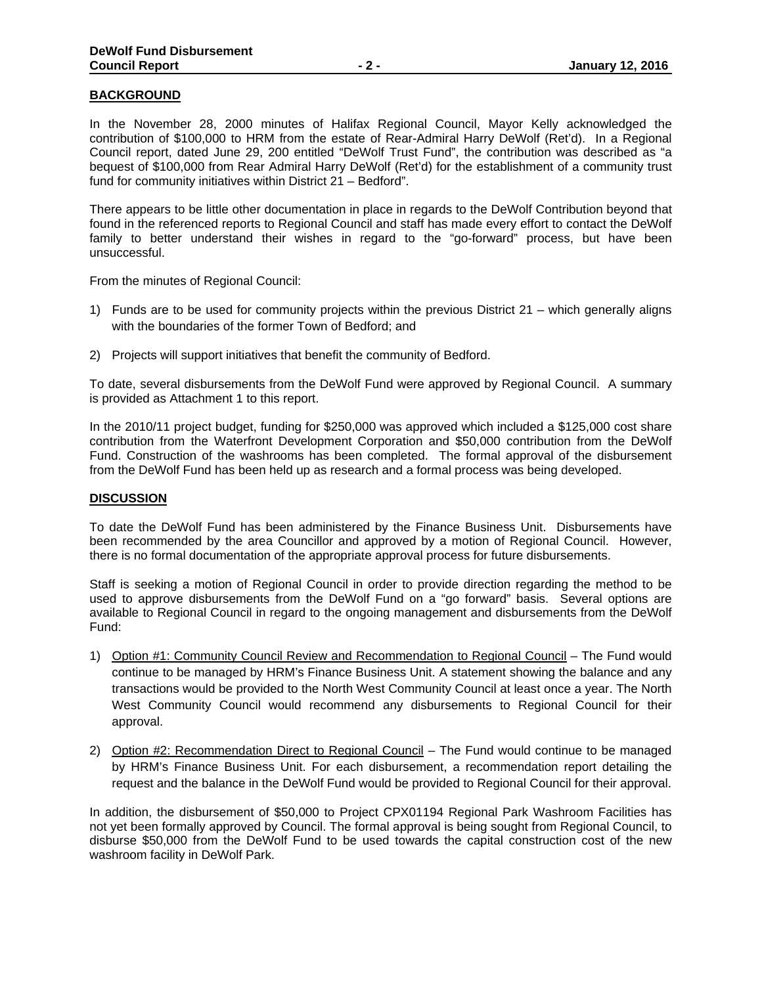### **BACKGROUND**

In the November 28, 2000 minutes of Halifax Regional Council, Mayor Kelly acknowledged the contribution of \$100,000 to HRM from the estate of Rear-Admiral Harry DeWolf (Ret'd). In a Regional Council report, dated June 29, 200 entitled "DeWolf Trust Fund", the contribution was described as "a bequest of \$100,000 from Rear Admiral Harry DeWolf (Ret'd) for the establishment of a community trust fund for community initiatives within District 21 – Bedford".

There appears to be little other documentation in place in regards to the DeWolf Contribution beyond that found in the referenced reports to Regional Council and staff has made every effort to contact the DeWolf family to better understand their wishes in regard to the "go-forward" process, but have been unsuccessful.

From the minutes of Regional Council:

- 1) Funds are to be used for community projects within the previous District 21 which generally aligns with the boundaries of the former Town of Bedford; and
- 2) Projects will support initiatives that benefit the community of Bedford.

To date, several disbursements from the DeWolf Fund were approved by Regional Council. A summary is provided as Attachment 1 to this report.

In the 2010/11 project budget, funding for \$250,000 was approved which included a \$125,000 cost share contribution from the Waterfront Development Corporation and \$50,000 contribution from the DeWolf Fund. Construction of the washrooms has been completed. The formal approval of the disbursement from the DeWolf Fund has been held up as research and a formal process was being developed.

#### **DISCUSSION**

To date the DeWolf Fund has been administered by the Finance Business Unit. Disbursements have been recommended by the area Councillor and approved by a motion of Regional Council. However, there is no formal documentation of the appropriate approval process for future disbursements.

Staff is seeking a motion of Regional Council in order to provide direction regarding the method to be used to approve disbursements from the DeWolf Fund on a "go forward" basis. Several options are available to Regional Council in regard to the ongoing management and disbursements from the DeWolf Fund:

- 1) Option #1: Community Council Review and Recommendation to Regional Council The Fund would continue to be managed by HRM's Finance Business Unit. A statement showing the balance and any transactions would be provided to the North West Community Council at least once a year. The North West Community Council would recommend any disbursements to Regional Council for their approval.
- 2) Option #2: Recommendation Direct to Regional Council The Fund would continue to be managed by HRM's Finance Business Unit. For each disbursement, a recommendation report detailing the request and the balance in the DeWolf Fund would be provided to Regional Council for their approval.

In addition, the disbursement of \$50,000 to Project CPX01194 Regional Park Washroom Facilities has not yet been formally approved by Council. The formal approval is being sought from Regional Council, to disburse \$50,000 from the DeWolf Fund to be used towards the capital construction cost of the new washroom facility in DeWolf Park.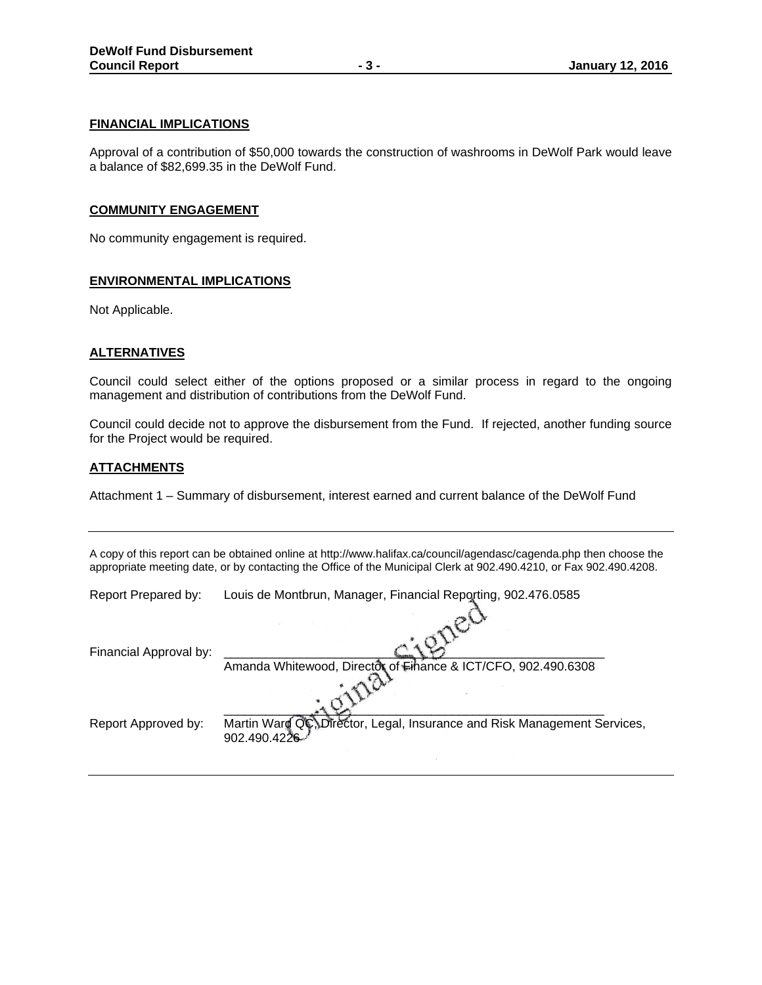#### **FINANCIAL IMPLICATIONS**

Approval of a contribution of \$50,000 towards the construction of washrooms in DeWolf Park would leave a balance of \$82,699.35 in the DeWolf Fund.

#### **COMMUNITY ENGAGEMENT**

No community engagement is required.

## **ENVIRONMENTAL IMPLICATIONS**

Not Applicable.

#### **ALTERNATIVES**

Council could select either of the options proposed or a similar process in regard to the ongoing management and distribution of contributions from the DeWolf Fund.

Council could decide not to approve the disbursement from the Fund. If rejected, another funding source for the Project would be required.

## **ATTACHMENTS**

Attachment 1 – Summary of disbursement, interest earned and current balance of the DeWolf Fund

A copy of this report can be obtained online at http://www.halifax.ca/council/agendasc/cagenda.php then choose the appropriate meeting date, or by contacting the Office of the Municipal Clerk at 902.490.4210, or Fax 902.490.4208.

 $\mathcal{P}$ 

Report Prepared by: Louis de Montbrun, Manager, Financial Reporting, 902.476.0585

| Financial Approval by: |                                                                                          |
|------------------------|------------------------------------------------------------------------------------------|
|                        | Amanda Whitewood, Director of Finance & ICT/CFO, 902.490.6308                            |
|                        |                                                                                          |
| Report Approved by:    | Martin Ward QC, Director, Legal, Insurance and Risk Management Services,<br>902.490.4226 |
|                        |                                                                                          |